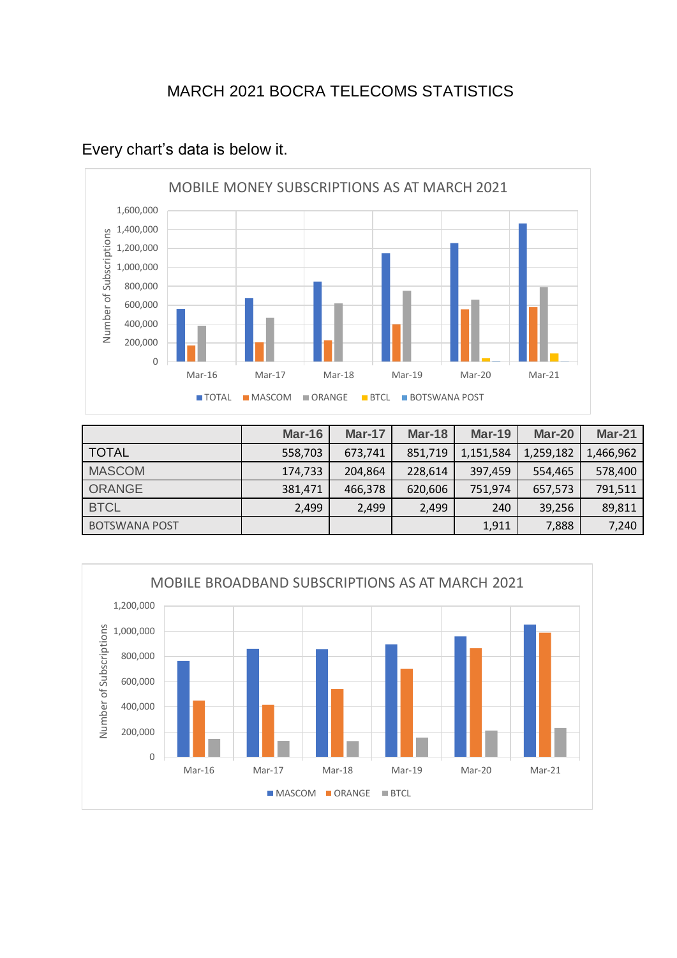## MARCH 2021 BOCRA TELECOMS STATISTICS



## Every chart's data is below it.

|                      | <b>Mar-16</b> | <b>Mar-17</b> | <b>Mar-18</b> | <b>Mar-19</b> | Mar-20    | <b>Mar-21</b> |
|----------------------|---------------|---------------|---------------|---------------|-----------|---------------|
| <b>TOTAL</b>         | 558,703       | 673,741       | 851,719       | 1,151,584     | 1,259,182 | 1,466,962     |
| <b>MASCOM</b>        | 174,733       | 204,864       | 228,614       | 397,459       | 554,465   | 578,400       |
| <b>ORANGE</b>        | 381,471       | 466,378       | 620,606       | 751,974       | 657,573   | 791,511       |
| <b>BTCL</b>          | 2,499         | 2,499         | 2,499         | 240           | 39,256    | 89,811        |
| <b>BOTSWANA POST</b> |               |               |               | 1,911         | 7,888     | 7,240         |

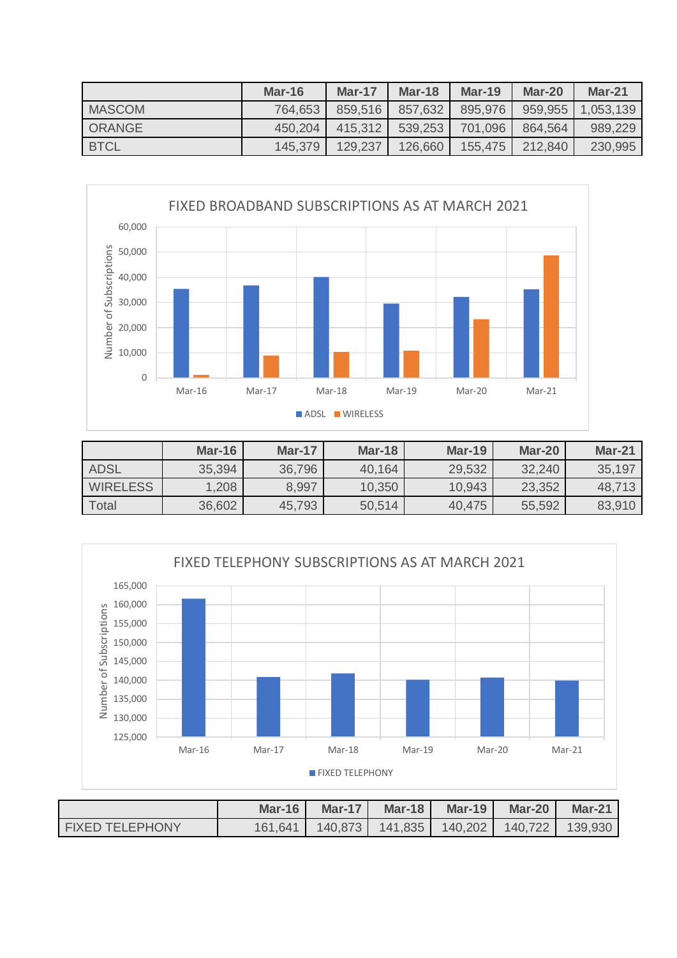|               | Mar-16  | <b>Mar-17</b> | Mar-18  | $Mar-19$ | Mar-20  | $Mar-21$  |
|---------------|---------|---------------|---------|----------|---------|-----------|
| <b>MASCOM</b> | 764,653 | 859,516       | 857,632 | 895,976  | 959,955 | 1,053,139 |
| ORANGE        | 450,204 | 415,312       | 539,253 | 701.096  | 864,564 | 989,229   |
| <b>BTCL</b>   | 145,379 | 129,237       | 126,660 | 155.475  | 212.840 | 230,995   |



|                 | $Mar-16$ | <b>Mar-17</b> | $Mar-18$ | Mar-19 | Mar-20 | $Mar-21$ |
|-----------------|----------|---------------|----------|--------|--------|----------|
| <b>ADSL</b>     | 35,394   | 36,796        | 40,164   | 29,532 | 32,240 | 35,197   |
| <b>WIRELESS</b> | 1,208    | 8,997         | 10,350   | 10,943 | 23,352 | 48,713   |
| <b>Total</b>    | 36,602   | 45,793        | 50,514   | 40,475 | 55,592 | 83,910   |



|                        | Mar-16 $\parallel$ | Mar-17 $\vert$                                            | Mar-18 | <b>Mar-19 Mar-20</b> | $Mar-21$ |
|------------------------|--------------------|-----------------------------------------------------------|--------|----------------------|----------|
| <b>FIXED TELEPHONY</b> |                    | 161,641   140,873   141,835   140,202   140,722   139,930 |        |                      |          |